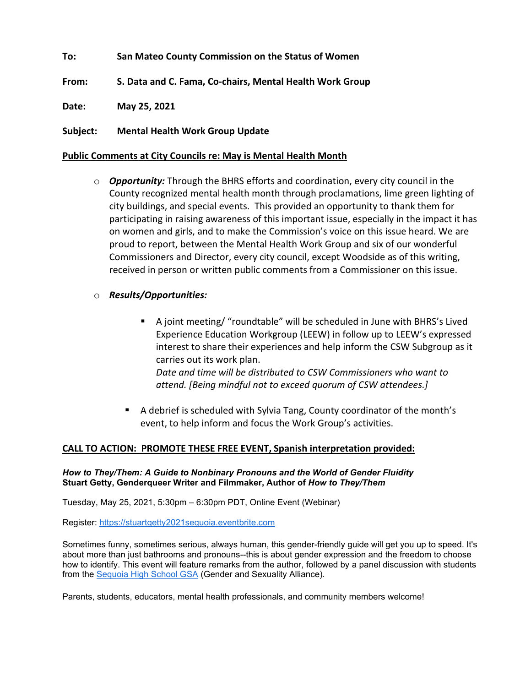**To: San Mateo County Commission on the Status of Women**

**From: S. Data and C. Fama, Co-chairs, Mental Health Work Group**

**Date: May 25, 2021**

**Subject: Mental Health Work Group Update** 

## **Public Comments at City Councils re: May is Mental Health Month**

- o *Opportunity:* Through the BHRS efforts and coordination, every city council in the County recognized mental health month through proclamations, lime green lighting of city buildings, and special events. This provided an opportunity to thank them for participating in raising awareness of this important issue, especially in the impact it has on women and girls, and to make the Commission's voice on this issue heard. We are proud to report, between the Mental Health Work Group and six of our wonderful Commissioners and Director, every city council, except Woodside as of this writing, received in person or written public comments from a Commissioner on this issue.
- o *Results/Opportunities:* 
	- A joint meeting/ "roundtable" will be scheduled in June with BHRS's Lived Experience Education Workgroup (LEEW) in follow up to LEEW's expressed interest to share their experiences and help inform the CSW Subgroup as it carries out its work plan.

*Date and time will be distributed to CSW Commissioners who want to attend. [Being mindful not to exceed quorum of CSW attendees.]*

■ A debrief is scheduled with Sylvia Tang, County coordinator of the month's event, to help inform and focus the Work Group's activities.

# **CALL TO ACTION: PROMOTE THESE FREE EVENT, Spanish interpretation provided:**

### *How to They/Them: A Guide to Nonbinary Pronouns and the World of Gender Fluidity* **Stuart Getty, Genderqueer Writer and Filmmaker, Author of** *How to They/Them*

Tuesday, May 25, 2021, 5:30pm – 6:30pm PDT, Online Event (Webinar)

Register: [https://stuartgetty2021sequoia.eventbrite.com](https://stuartgetty2021sequoia.eventbrite.com/)

Sometimes funny, sometimes serious, always human, this gender-friendly guide will get you up to speed. It's about more than just bathrooms and pronouns--this is about gender expression and the freedom to choose how to identify. This event will feature remarks from the author, followed by a panel discussion with students from the [Sequoia High School GSA](https://www.sequoiahs.org/STUDENT-LIFE/Clubs/index.html) (Gender and Sexuality Alliance).

Parents, students, educators, mental health professionals, and community members welcome!